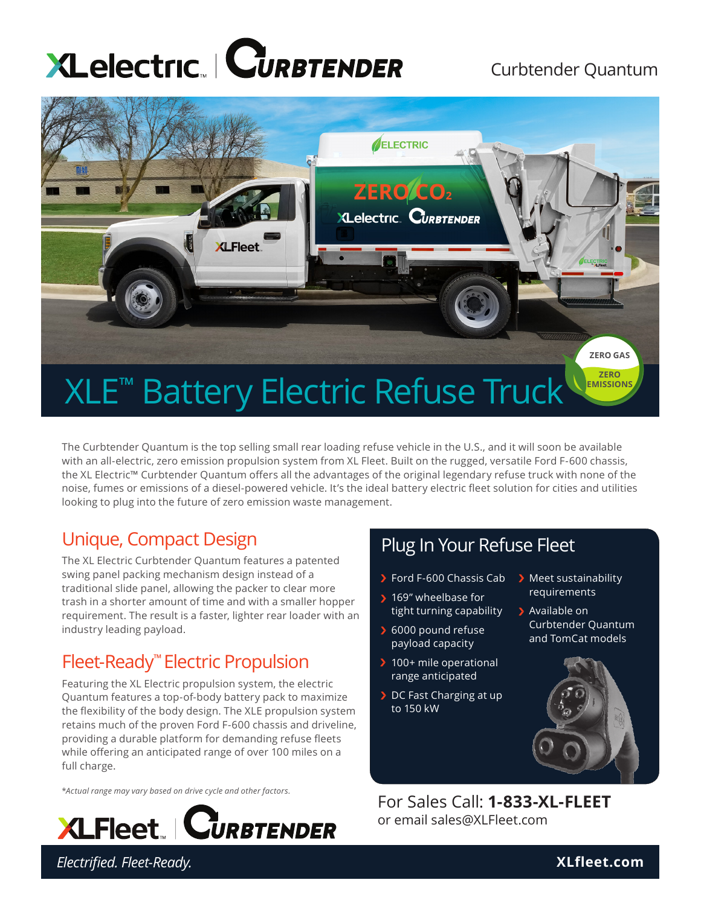# **XLelectric CURBTENDER**

#### Curbtender Quantum



The Curbtender Quantum is the top selling small rear loading refuse vehicle in the U.S., and it will soon be available with an all-electric, zero emission propulsion system from XL Fleet. Built on the rugged, versatile Ford F-600 chassis, the XL Electric™ Curbtender Quantum offers all the advantages of the original legendary refuse truck with none of the noise, fumes or emissions of a diesel-powered vehicle. It's the ideal battery electric fleet solution for cities and utilities looking to plug into the future of zero emission waste management.

#### Unique, Compact Design

The XL Electric Curbtender Quantum features a patented swing panel packing mechanism design instead of a traditional slide panel, allowing the packer to clear more trash in a shorter amount of time and with a smaller hopper requirement. The result is a faster, lighter rear loader with an industry leading payload.

### Fleet-Ready™ Electric Propulsion

Featuring the XL Electric propulsion system, the electric Quantum features a top-of-body battery pack to maximize the flexibility of the body design. The XLE propulsion system retains much of the proven Ford F-600 chassis and driveline, providing a durable platform for demanding refuse fleets while offering an anticipated range of over 100 miles on a full charge.

\**Actual range may vary based on drive cycle and other factors.*



### Plug In Your Refuse Fleet

- Ford F-600 Chassis Cab
- 169" wheelbase for tight turning capability
- ▶ 6000 pound refuse payload capacity
- > 100+ mile operational range anticipated
- DC Fast Charging at up to 150 kW
- **Meet sustainability** requirements
- Available on Curbtender Quantum and TomCat models



For Sales Call: **1-833-XL-FLEET** or email sales@XLFleet.com

*Electrified. Fleet-Ready.* **XLfleet.com**